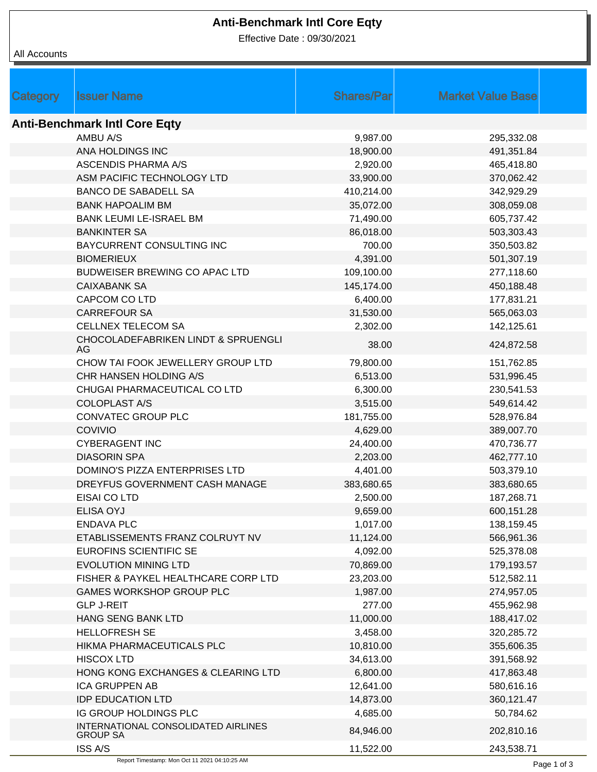## **Anti-Benchmark Intl Core Eqty**

Effective Date : 09/30/2021

| Category                             | <b>Issuer Name</b>                                     | <b>Shares/Par</b> | <b>Market Value Base</b> |  |  |  |  |
|--------------------------------------|--------------------------------------------------------|-------------------|--------------------------|--|--|--|--|
|                                      |                                                        |                   |                          |  |  |  |  |
| <b>Anti-Benchmark Intl Core Eqty</b> |                                                        |                   |                          |  |  |  |  |
|                                      | AMBU A/S                                               | 9,987.00          | 295,332.08               |  |  |  |  |
|                                      | ANA HOLDINGS INC                                       | 18,900.00         | 491,351.84               |  |  |  |  |
|                                      | <b>ASCENDIS PHARMA A/S</b>                             | 2,920.00          | 465,418.80               |  |  |  |  |
|                                      | ASM PACIFIC TECHNOLOGY LTD                             | 33,900.00         | 370,062.42               |  |  |  |  |
|                                      | <b>BANCO DE SABADELL SA</b>                            | 410,214.00        | 342,929.29               |  |  |  |  |
|                                      | <b>BANK HAPOALIM BM</b>                                | 35,072.00         | 308,059.08               |  |  |  |  |
|                                      | <b>BANK LEUMI LE-ISRAEL BM</b>                         | 71,490.00         | 605,737.42               |  |  |  |  |
|                                      | <b>BANKINTER SA</b>                                    | 86,018.00         | 503,303.43               |  |  |  |  |
|                                      | BAYCURRENT CONSULTING INC                              | 700.00            | 350,503.82               |  |  |  |  |
|                                      | <b>BIOMERIEUX</b>                                      | 4,391.00          | 501,307.19               |  |  |  |  |
|                                      | BUDWEISER BREWING CO APAC LTD                          | 109,100.00        | 277,118.60               |  |  |  |  |
|                                      | <b>CAIXABANK SA</b>                                    | 145,174.00        | 450,188.48               |  |  |  |  |
|                                      | CAPCOM CO LTD                                          | 6,400.00          | 177,831.21               |  |  |  |  |
|                                      | <b>CARREFOUR SA</b>                                    | 31,530.00         | 565,063.03               |  |  |  |  |
|                                      | <b>CELLNEX TELECOM SA</b>                              | 2,302.00          | 142,125.61               |  |  |  |  |
|                                      | CHOCOLADEFABRIKEN LINDT & SPRUENGLI<br>AG.             | 38.00             | 424,872.58               |  |  |  |  |
|                                      | CHOW TAI FOOK JEWELLERY GROUP LTD                      | 79,800.00         | 151,762.85               |  |  |  |  |
|                                      | CHR HANSEN HOLDING A/S                                 | 6,513.00          | 531,996.45               |  |  |  |  |
|                                      | CHUGAI PHARMACEUTICAL CO LTD                           | 6,300.00          | 230,541.53               |  |  |  |  |
|                                      | <b>COLOPLAST A/S</b>                                   | 3,515.00          | 549,614.42               |  |  |  |  |
|                                      | CONVATEC GROUP PLC                                     | 181,755.00        | 528,976.84               |  |  |  |  |
|                                      | COVIVIO                                                | 4,629.00          | 389,007.70               |  |  |  |  |
|                                      | <b>CYBERAGENT INC</b>                                  | 24,400.00         | 470,736.77               |  |  |  |  |
|                                      | <b>DIASORIN SPA</b>                                    | 2,203.00          | 462,777.10               |  |  |  |  |
|                                      | DOMINO'S PIZZA ENTERPRISES LTD                         | 4,401.00          | 503,379.10               |  |  |  |  |
|                                      | DREYFUS GOVERNMENT CASH MANAGE                         | 383,680.65        | 383,680.65               |  |  |  |  |
|                                      | EISAI CO LTD                                           | 2,500.00          | 187,268.71               |  |  |  |  |
|                                      | <b>ELISA OYJ</b>                                       | 9,659.00          | 600,151.28               |  |  |  |  |
|                                      | <b>ENDAVA PLC</b>                                      | 1,017.00          | 138,159.45               |  |  |  |  |
|                                      | ETABLISSEMENTS FRANZ COLRUYT NV                        | 11,124.00         | 566,961.36               |  |  |  |  |
|                                      | EUROFINS SCIENTIFIC SE                                 | 4,092.00          | 525,378.08               |  |  |  |  |
|                                      | <b>EVOLUTION MINING LTD</b>                            | 70,869.00         | 179,193.57               |  |  |  |  |
|                                      | FISHER & PAYKEL HEALTHCARE CORP LTD                    | 23,203.00         | 512,582.11               |  |  |  |  |
|                                      | <b>GAMES WORKSHOP GROUP PLC</b>                        | 1,987.00          | 274,957.05               |  |  |  |  |
|                                      | <b>GLP J-REIT</b>                                      | 277.00            | 455,962.98               |  |  |  |  |
|                                      | HANG SENG BANK LTD                                     | 11,000.00         | 188,417.02               |  |  |  |  |
|                                      | <b>HELLOFRESH SE</b>                                   | 3,458.00          | 320,285.72               |  |  |  |  |
|                                      | HIKMA PHARMACEUTICALS PLC                              | 10,810.00         | 355,606.35               |  |  |  |  |
|                                      | <b>HISCOX LTD</b>                                      | 34,613.00         | 391,568.92               |  |  |  |  |
|                                      | HONG KONG EXCHANGES & CLEARING LTD                     | 6,800.00          | 417,863.48               |  |  |  |  |
|                                      | <b>ICA GRUPPEN AB</b>                                  | 12,641.00         | 580,616.16               |  |  |  |  |
|                                      | <b>IDP EDUCATION LTD</b>                               | 14,873.00         | 360,121.47               |  |  |  |  |
|                                      | IG GROUP HOLDINGS PLC                                  | 4,685.00          | 50,784.62                |  |  |  |  |
|                                      | INTERNATIONAL CONSOLIDATED AIRLINES<br><b>GROUP SA</b> | 84,946.00         | 202,810.16               |  |  |  |  |
|                                      | <b>ISS A/S</b>                                         | 11,522.00         | 243,538.71               |  |  |  |  |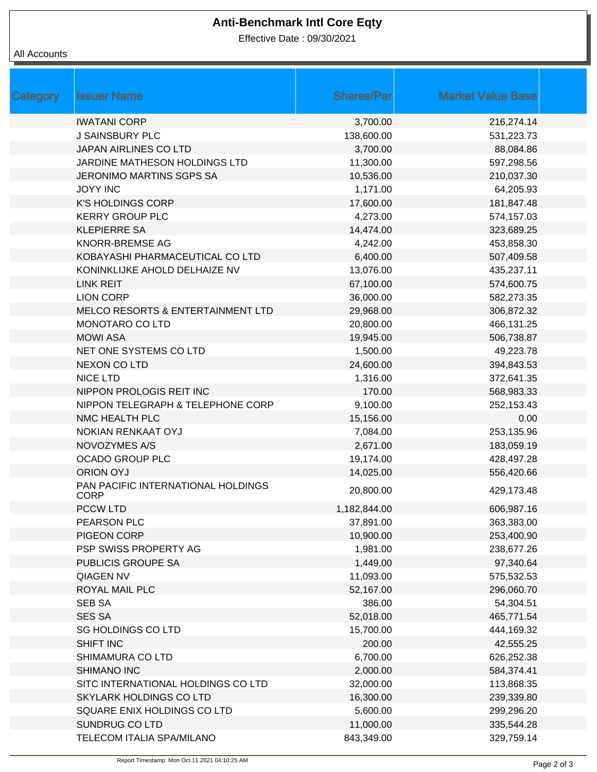# **Anti-Benchmark Intl Core Eqty**

Effective Date : 09/30/2021

#### All Accounts

| Category | <b>Issuer Name</b>                                | <b>Shares/Par</b> | <b>Market Value Base</b> |  |
|----------|---------------------------------------------------|-------------------|--------------------------|--|
|          | <b>IWATANI CORP</b>                               | 3,700.00          | 216,274.14               |  |
|          | <b>J SAINSBURY PLC</b>                            | 138,600.00        | 531,223.73               |  |
|          | JAPAN AIRLINES CO LTD                             | 3,700.00          | 88,084.86                |  |
|          | JARDINE MATHESON HOLDINGS LTD                     | 11,300.00         | 597,298.56               |  |
|          | <b>JERONIMO MARTINS SGPS SA</b>                   | 10,536.00         | 210,037.30               |  |
|          | <b>JOYY INC</b>                                   | 1,171.00          | 64,205.93                |  |
|          | <b>K'S HOLDINGS CORP</b>                          | 17,600.00         | 181,847.48               |  |
|          | <b>KERRY GROUP PLC</b>                            | 4,273.00          | 574,157.03               |  |
|          | <b>KLEPIERRE SA</b>                               | 14,474.00         | 323,689.25               |  |
|          | KNORR-BREMSE AG                                   | 4,242.00          | 453,858.30               |  |
|          | KOBAYASHI PHARMACEUTICAL CO LTD                   | 6,400.00          | 507,409.58               |  |
|          | KONINKLIJKE AHOLD DELHAIZE NV                     | 13,076.00         | 435,237.11               |  |
|          | <b>LINK REIT</b>                                  | 67,100.00         | 574,600.75               |  |
|          | <b>LION CORP</b>                                  | 36,000.00         | 582,273.35               |  |
|          | MELCO RESORTS & ENTERTAINMENT LTD                 | 29,968.00         | 306,872.32               |  |
|          | MONOTARO CO LTD                                   | 20,800.00         | 466,131.25               |  |
|          | <b>MOWI ASA</b>                                   | 19,945.00         | 506,738.87               |  |
|          | NET ONE SYSTEMS CO LTD                            | 1,500.00          | 49,223.78                |  |
|          | <b>NEXON CO LTD</b>                               | 24,600.00         | 394,843.53               |  |
|          | <b>NICE LTD</b>                                   | 1,316.00          | 372,641.35               |  |
|          | NIPPON PROLOGIS REIT INC                          | 170.00            | 568,983.33               |  |
|          | NIPPON TELEGRAPH & TELEPHONE CORP                 | 9,100.00          | 252,153.43               |  |
|          | NMC HEALTH PLC                                    | 15,156.00         | 0.00                     |  |
|          | NOKIAN RENKAAT OYJ                                | 7,084.00          | 253,135.96               |  |
|          | NOVOZYMES A/S                                     | 2,671.00          | 183,059.19               |  |
|          | <b>OCADO GROUP PLC</b>                            | 19,174.00         | 428,497.28               |  |
|          | <b>ORION OYJ</b>                                  | 14,025.00         | 556,420.66               |  |
|          | PAN PACIFIC INTERNATIONAL HOLDINGS<br><b>CORP</b> | 20,800.00         | 429,173.48               |  |
|          | PCCW LTD                                          | 1,182,844.00      | 606,987.16               |  |
|          | PEARSON PLC                                       | 37,891.00         | 363,383.00               |  |
|          | PIGEON CORP                                       | 10,900.00         | 253,400.90               |  |
|          | PSP SWISS PROPERTY AG                             | 1,981.00          | 238,677.26               |  |
|          | PUBLICIS GROUPE SA                                | 1,449.00          | 97,340.64                |  |
|          | <b>QIAGEN NV</b>                                  | 11,093.00         | 575,532.53               |  |
|          | <b>ROYAL MAIL PLC</b>                             | 52,167.00         | 296,060.70               |  |
|          | <b>SEB SA</b>                                     | 386.00            | 54,304.51                |  |
|          | <b>SES SA</b>                                     | 52,018.00         | 465,771.54               |  |
|          | SG HOLDINGS CO LTD                                | 15,700.00         | 444,169.32               |  |
|          | SHIFT INC                                         | 200.00            | 42,555.25                |  |
|          | SHIMAMURA CO LTD                                  | 6,700.00          | 626,252.38               |  |
|          | SHIMANO INC                                       | 2,000.00          | 584,374.41               |  |
|          | SITC INTERNATIONAL HOLDINGS CO LTD                | 32,000.00         | 113,868.35               |  |
|          | SKYLARK HOLDINGS CO LTD                           | 16,300.00         | 239,339.80               |  |
|          | SQUARE ENIX HOLDINGS CO LTD                       | 5,600.00          | 299,296.20               |  |
|          | SUNDRUG CO LTD                                    | 11,000.00         | 335,544.28               |  |
|          | TELECOM ITALIA SPA/MILANO                         | 843,349.00        | 329,759.14               |  |